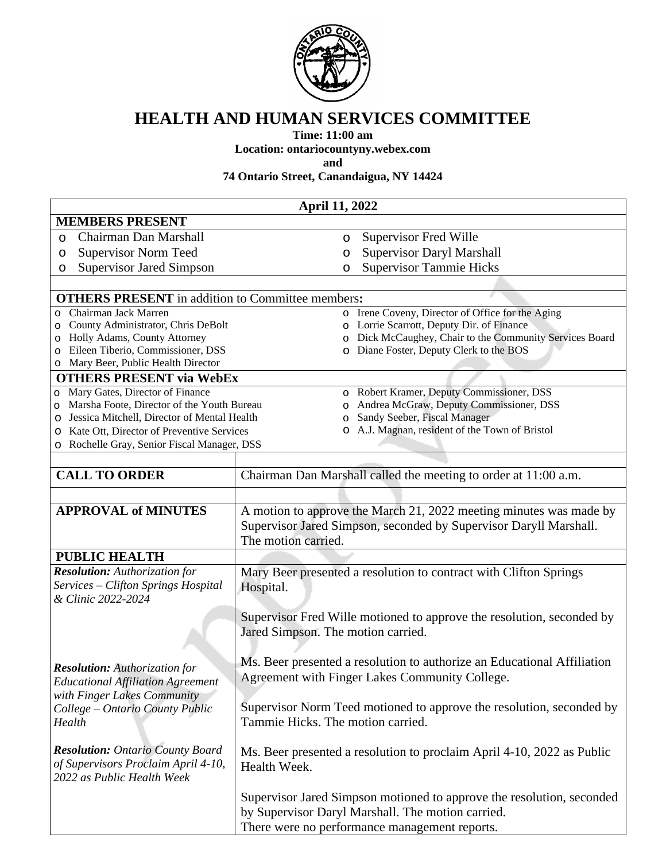

## **HEALTH AND HUMAN SERVICES COMMITTEE**

**Time: 11:00 am**

**Location: ontariocountyny.webex.com**

**and**

**74 Ontario Street, Canandaigua, NY 14424**

| <b>April 11, 2022</b>                                                              |                                                                                      |  |
|------------------------------------------------------------------------------------|--------------------------------------------------------------------------------------|--|
| <b>MEMBERS PRESENT</b>                                                             |                                                                                      |  |
| Chairman Dan Marshall<br>$\circ$                                                   | <b>Supervisor Fred Wille</b><br>$\circ$                                              |  |
| <b>Supervisor Norm Teed</b><br>O                                                   | Supervisor Daryl Marshall<br>O                                                       |  |
| <b>Supervisor Jared Simpson</b><br>O                                               | <b>Supervisor Tammie Hicks</b><br>O                                                  |  |
|                                                                                    |                                                                                      |  |
| <b>OTHERS PRESENT</b> in addition to Committee members:                            |                                                                                      |  |
| Chairman Jack Marren<br>$\circ$                                                    | o Irene Coveny, Director of Office for the Aging                                     |  |
| County Administrator, Chris DeBolt<br>O                                            | o Lorrie Scarrott, Deputy Dir. of Finance                                            |  |
| Holly Adams, County Attorney<br>O                                                  | Dick McCaughey, Chair to the Community Services Board                                |  |
| Eileen Tiberio, Commissioner, DSS<br>$\circ$                                       | Diane Foster, Deputy Clerk to the BOS                                                |  |
| Mary Beer, Public Health Director<br>O                                             |                                                                                      |  |
| <b>OTHERS PRESENT via WebEx</b>                                                    |                                                                                      |  |
| Mary Gates, Director of Finance<br>O<br>Marsha Foote, Director of the Youth Bureau | o Robert Kramer, Deputy Commissioner, DSS<br>Andrea McGraw, Deputy Commissioner, DSS |  |
| O<br>Jessica Mitchell, Director of Mental Health<br>O                              | $\circ$<br>Sandy Seeber, Fiscal Manager<br>$\circ$                                   |  |
| Kate Ott, Director of Preventive Services<br>O                                     | o A.J. Magnan, resident of the Town of Bristol                                       |  |
| Rochelle Gray, Senior Fiscal Manager, DSS<br>$\circ$                               |                                                                                      |  |
|                                                                                    |                                                                                      |  |
| <b>CALL TO ORDER</b>                                                               | Chairman Dan Marshall called the meeting to order at 11:00 a.m.                      |  |
|                                                                                    |                                                                                      |  |
|                                                                                    |                                                                                      |  |
| <b>APPROVAL of MINUTES</b>                                                         | A motion to approve the March 21, 2022 meeting minutes was made by                   |  |
|                                                                                    | Supervisor Jared Simpson, seconded by Supervisor Daryll Marshall.                    |  |
|                                                                                    | The motion carried.                                                                  |  |
| <b>PUBLIC HEALTH</b>                                                               |                                                                                      |  |
| <b>Resolution:</b> Authorization for                                               | Mary Beer presented a resolution to contract with Clifton Springs                    |  |
| Services - Clifton Springs Hospital                                                | Hospital.                                                                            |  |
| & Clinic 2022-2024                                                                 |                                                                                      |  |
|                                                                                    | Supervisor Fred Wille motioned to approve the resolution, seconded by                |  |
|                                                                                    | Jared Simpson. The motion carried.                                                   |  |
|                                                                                    |                                                                                      |  |
|                                                                                    | Ms. Beer presented a resolution to authorize an Educational Affiliation              |  |
| <b>Resolution:</b> Authorization for                                               | Agreement with Finger Lakes Community College.                                       |  |
| <b>Educational Affiliation Agreement</b>                                           |                                                                                      |  |
| with Finger Lakes Community                                                        |                                                                                      |  |
| College – Ontario County Public                                                    | Supervisor Norm Teed motioned to approve the resolution, seconded by                 |  |
| Health                                                                             | Tammie Hicks. The motion carried.                                                    |  |
|                                                                                    |                                                                                      |  |
| <b>Resolution:</b> Ontario County Board                                            | Ms. Beer presented a resolution to proclaim April 4-10, 2022 as Public               |  |
| of Supervisors Proclaim April 4-10,<br>2022 as Public Health Week                  | Health Week.                                                                         |  |
|                                                                                    |                                                                                      |  |
|                                                                                    | Supervisor Jared Simpson motioned to approve the resolution, seconded                |  |
|                                                                                    | by Supervisor Daryl Marshall. The motion carried.                                    |  |
|                                                                                    | There were no performance management reports.                                        |  |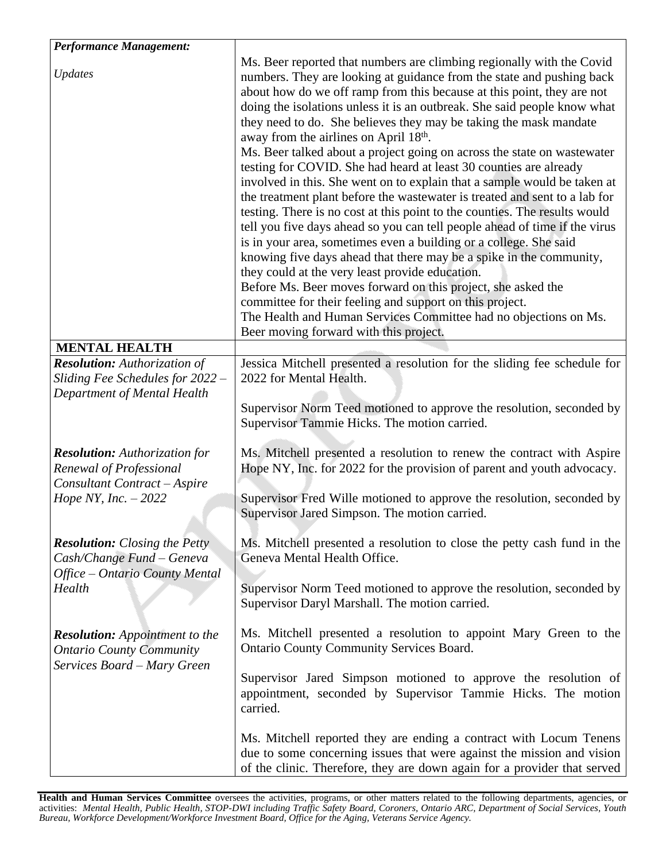| <b>Performance Management:</b>                                                                                           |                                                                                                                                                                                                                                                                                                                                                                                                                                                                                                                                                                                                                                                                                                                                                                                                                                                                                                                                                                                                                                                                                                                                                                                                                                                                                                                                   |
|--------------------------------------------------------------------------------------------------------------------------|-----------------------------------------------------------------------------------------------------------------------------------------------------------------------------------------------------------------------------------------------------------------------------------------------------------------------------------------------------------------------------------------------------------------------------------------------------------------------------------------------------------------------------------------------------------------------------------------------------------------------------------------------------------------------------------------------------------------------------------------------------------------------------------------------------------------------------------------------------------------------------------------------------------------------------------------------------------------------------------------------------------------------------------------------------------------------------------------------------------------------------------------------------------------------------------------------------------------------------------------------------------------------------------------------------------------------------------|
| <b>Updates</b>                                                                                                           | Ms. Beer reported that numbers are climbing regionally with the Covid<br>numbers. They are looking at guidance from the state and pushing back<br>about how do we off ramp from this because at this point, they are not<br>doing the isolations unless it is an outbreak. She said people know what<br>they need to do. She believes they may be taking the mask mandate<br>away from the airlines on April 18th.<br>Ms. Beer talked about a project going on across the state on wastewater<br>testing for COVID. She had heard at least 30 counties are already<br>involved in this. She went on to explain that a sample would be taken at<br>the treatment plant before the wastewater is treated and sent to a lab for<br>testing. There is no cost at this point to the counties. The results would<br>tell you five days ahead so you can tell people ahead of time if the virus<br>is in your area, sometimes even a building or a college. She said<br>knowing five days ahead that there may be a spike in the community,<br>they could at the very least provide education.<br>Before Ms. Beer moves forward on this project, she asked the<br>committee for their feeling and support on this project.<br>The Health and Human Services Committee had no objections on Ms.<br>Beer moving forward with this project. |
| <b>MENTAL HEALTH</b>                                                                                                     |                                                                                                                                                                                                                                                                                                                                                                                                                                                                                                                                                                                                                                                                                                                                                                                                                                                                                                                                                                                                                                                                                                                                                                                                                                                                                                                                   |
| <b>Resolution:</b> Authorization of<br>Sliding Fee Schedules for 2022 -<br>Department of Mental Health                   | Jessica Mitchell presented a resolution for the sliding fee schedule for<br>2022 for Mental Health.<br>Supervisor Norm Teed motioned to approve the resolution, seconded by<br>Supervisor Tammie Hicks. The motion carried.                                                                                                                                                                                                                                                                                                                                                                                                                                                                                                                                                                                                                                                                                                                                                                                                                                                                                                                                                                                                                                                                                                       |
| <b>Resolution:</b> Authorization for<br>Renewal of Professional<br>Consultant Contract - Aspire<br>Hope NY, Inc. $-2022$ | Ms. Mitchell presented a resolution to renew the contract with Aspire<br>Hope NY, Inc. for 2022 for the provision of parent and youth advocacy.<br>Supervisor Fred Wille motioned to approve the resolution, seconded by<br>Supervisor Jared Simpson. The motion carried.                                                                                                                                                                                                                                                                                                                                                                                                                                                                                                                                                                                                                                                                                                                                                                                                                                                                                                                                                                                                                                                         |
| <b>Resolution:</b> Closing the Petty<br>Cash/Change Fund – Geneva<br>Office - Ontario County Mental<br>Health            | Ms. Mitchell presented a resolution to close the petty cash fund in the<br>Geneva Mental Health Office.<br>Supervisor Norm Teed motioned to approve the resolution, seconded by<br>Supervisor Daryl Marshall. The motion carried.                                                                                                                                                                                                                                                                                                                                                                                                                                                                                                                                                                                                                                                                                                                                                                                                                                                                                                                                                                                                                                                                                                 |
| <b>Resolution:</b> Appointment to the<br><b>Ontario County Community</b><br>Services Board - Mary Green                  | Ms. Mitchell presented a resolution to appoint Mary Green to the<br><b>Ontario County Community Services Board.</b><br>Supervisor Jared Simpson motioned to approve the resolution of<br>appointment, seconded by Supervisor Tammie Hicks. The motion<br>carried.                                                                                                                                                                                                                                                                                                                                                                                                                                                                                                                                                                                                                                                                                                                                                                                                                                                                                                                                                                                                                                                                 |
|                                                                                                                          | Ms. Mitchell reported they are ending a contract with Locum Tenens<br>due to some concerning issues that were against the mission and vision<br>of the clinic. Therefore, they are down again for a provider that served                                                                                                                                                                                                                                                                                                                                                                                                                                                                                                                                                                                                                                                                                                                                                                                                                                                                                                                                                                                                                                                                                                          |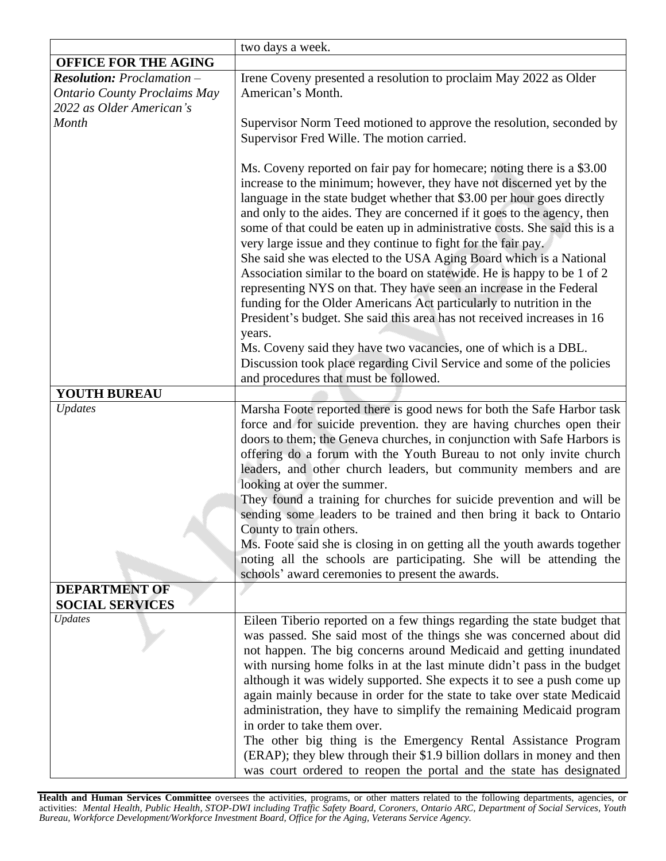|                                     | two days a week.                                                                                                                                  |
|-------------------------------------|---------------------------------------------------------------------------------------------------------------------------------------------------|
| <b>OFFICE FOR THE AGING</b>         |                                                                                                                                                   |
| <b>Resolution:</b> Proclamation -   | Irene Coveny presented a resolution to proclaim May 2022 as Older                                                                                 |
| <b>Ontario County Proclaims May</b> | American's Month.                                                                                                                                 |
| 2022 as Older American's            |                                                                                                                                                   |
| Month                               | Supervisor Norm Teed motioned to approve the resolution, seconded by                                                                              |
|                                     | Supervisor Fred Wille. The motion carried.                                                                                                        |
|                                     |                                                                                                                                                   |
|                                     | Ms. Coveny reported on fair pay for homecare; noting there is a \$3.00                                                                            |
|                                     | increase to the minimum; however, they have not discerned yet by the                                                                              |
|                                     | language in the state budget whether that \$3.00 per hour goes directly                                                                           |
|                                     | and only to the aides. They are concerned if it goes to the agency, then                                                                          |
|                                     | some of that could be eaten up in administrative costs. She said this is a                                                                        |
|                                     | very large issue and they continue to fight for the fair pay.                                                                                     |
|                                     | She said she was elected to the USA Aging Board which is a National                                                                               |
|                                     | Association similar to the board on statewide. He is happy to be 1 of 2                                                                           |
|                                     | representing NYS on that. They have seen an increase in the Federal                                                                               |
|                                     | funding for the Older Americans Act particularly to nutrition in the                                                                              |
|                                     | President's budget. She said this area has not received increases in 16                                                                           |
|                                     | years.                                                                                                                                            |
|                                     | Ms. Coveny said they have two vacancies, one of which is a DBL.                                                                                   |
|                                     | Discussion took place regarding Civil Service and some of the policies                                                                            |
|                                     | and procedures that must be followed.                                                                                                             |
| YOUTH BUREAU                        |                                                                                                                                                   |
| Updates                             | Marsha Foote reported there is good news for both the Safe Harbor task                                                                            |
|                                     | force and for suicide prevention. they are having churches open their                                                                             |
|                                     | doors to them; the Geneva churches, in conjunction with Safe Harbors is                                                                           |
|                                     | offering do a forum with the Youth Bureau to not only invite church                                                                               |
|                                     | leaders, and other church leaders, but community members and are                                                                                  |
|                                     | looking at over the summer.                                                                                                                       |
|                                     | They found a training for churches for suicide prevention and will be                                                                             |
|                                     | sending some leaders to be trained and then bring it back to Ontario                                                                              |
|                                     | County to train others.                                                                                                                           |
|                                     | Ms. Foote said she is closing in on getting all the youth awards together                                                                         |
|                                     | noting all the schools are participating. She will be attending the                                                                               |
|                                     | schools' award ceremonies to present the awards.                                                                                                  |
| <b>DEPARTMENT OF</b>                |                                                                                                                                                   |
| <b>SOCIAL SERVICES</b>              |                                                                                                                                                   |
| <b>Updates</b>                      | Eileen Tiberio reported on a few things regarding the state budget that                                                                           |
|                                     | was passed. She said most of the things she was concerned about did                                                                               |
|                                     | not happen. The big concerns around Medicaid and getting inundated                                                                                |
|                                     | with nursing home folks in at the last minute didn't pass in the budget                                                                           |
|                                     | although it was widely supported. She expects it to see a push come up<br>again mainly because in order for the state to take over state Medicaid |
|                                     | administration, they have to simplify the remaining Medicaid program                                                                              |
|                                     | in order to take them over.                                                                                                                       |
|                                     | The other big thing is the Emergency Rental Assistance Program                                                                                    |
|                                     | (ERAP); they blew through their \$1.9 billion dollars in money and then                                                                           |
|                                     | was court ordered to reopen the portal and the state has designated                                                                               |
|                                     |                                                                                                                                                   |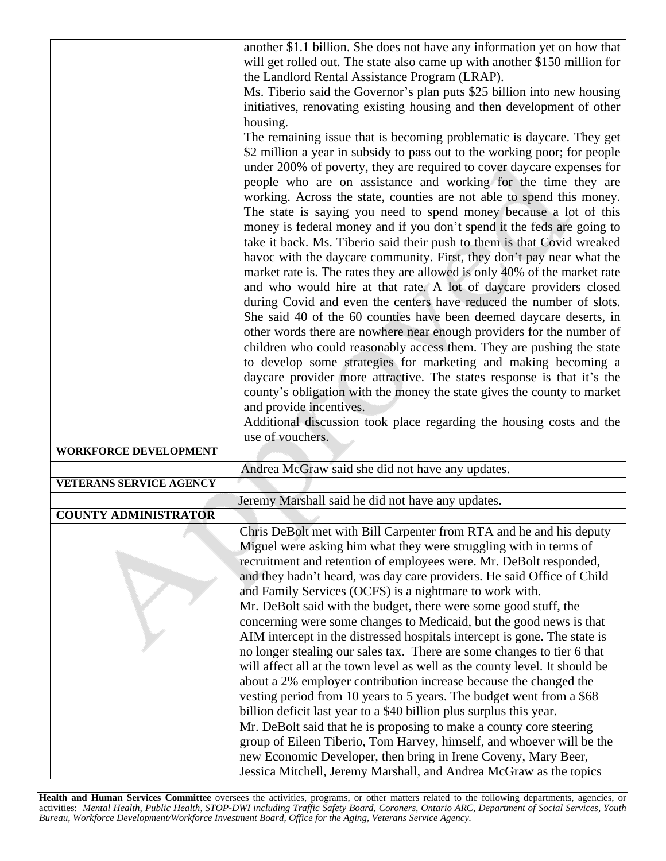|                                | another \$1.1 billion. She does not have any information yet on how that                                                                         |
|--------------------------------|--------------------------------------------------------------------------------------------------------------------------------------------------|
|                                | will get rolled out. The state also came up with another \$150 million for                                                                       |
|                                | the Landlord Rental Assistance Program (LRAP).                                                                                                   |
|                                | Ms. Tiberio said the Governor's plan puts \$25 billion into new housing                                                                          |
|                                | initiatives, renovating existing housing and then development of other                                                                           |
|                                | housing.                                                                                                                                         |
|                                | The remaining issue that is becoming problematic is daycare. They get                                                                            |
|                                | \$2 million a year in subsidy to pass out to the working poor; for people                                                                        |
|                                | under 200% of poverty, they are required to cover daycare expenses for                                                                           |
|                                | people who are on assistance and working for the time they are                                                                                   |
|                                | working. Across the state, counties are not able to spend this money.<br>The state is saying you need to spend money because a lot of this       |
|                                | money is federal money and if you don't spend it the feds are going to                                                                           |
|                                | take it back. Ms. Tiberio said their push to them is that Covid wreaked                                                                          |
|                                | havoc with the daycare community. First, they don't pay near what the                                                                            |
|                                | market rate is. The rates they are allowed is only 40% of the market rate                                                                        |
|                                | and who would hire at that rate. A lot of daycare providers closed                                                                               |
|                                | during Covid and even the centers have reduced the number of slots.                                                                              |
|                                | She said 40 of the 60 counties have been deemed daycare deserts, in                                                                              |
|                                | other words there are nowhere near enough providers for the number of                                                                            |
|                                | children who could reasonably access them. They are pushing the state                                                                            |
|                                | to develop some strategies for marketing and making becoming a                                                                                   |
|                                | daycare provider more attractive. The states response is that it's the                                                                           |
|                                | county's obligation with the money the state gives the county to market                                                                          |
|                                | and provide incentives.                                                                                                                          |
|                                | Additional discussion took place regarding the housing costs and the<br>use of vouchers.                                                         |
| <b>WORKFORCE DEVELOPMENT</b>   |                                                                                                                                                  |
|                                | Andrea McGraw said she did not have any updates.                                                                                                 |
| <b>VETERANS SERVICE AGENCY</b> |                                                                                                                                                  |
|                                | Jeremy Marshall said he did not have any updates.                                                                                                |
| <b>COUNTY ADMINISTRATOR</b>    |                                                                                                                                                  |
|                                | Chris DeBolt met with Bill Carpenter from RTA and he and his deputy                                                                              |
|                                | Miguel were asking him what they were struggling with in terms of                                                                                |
|                                | recruitment and retention of employees were. Mr. DeBolt responded,                                                                               |
|                                | and they hadn't heard, was day care providers. He said Office of Child                                                                           |
|                                | and Family Services (OCFS) is a nightmare to work with.                                                                                          |
|                                | Mr. DeBolt said with the budget, there were some good stuff, the                                                                                 |
|                                | concerning were some changes to Medicaid, but the good news is that                                                                              |
|                                | AIM intercept in the distressed hospitals intercept is gone. The state is                                                                        |
|                                | no longer stealing our sales tax. There are some changes to tier 6 that                                                                          |
|                                | will affect all at the town level as well as the county level. It should be<br>about a 2% employer contribution increase because the changed the |
|                                | vesting period from 10 years to 5 years. The budget went from a \$68                                                                             |
|                                | billion deficit last year to a \$40 billion plus surplus this year.                                                                              |
|                                | Mr. DeBolt said that he is proposing to make a county core steering                                                                              |
|                                | group of Eileen Tiberio, Tom Harvey, himself, and whoever will be the                                                                            |
|                                | new Economic Developer, then bring in Irene Coveny, Mary Beer,                                                                                   |
|                                | Jessica Mitchell, Jeremy Marshall, and Andrea McGraw as the topics                                                                               |